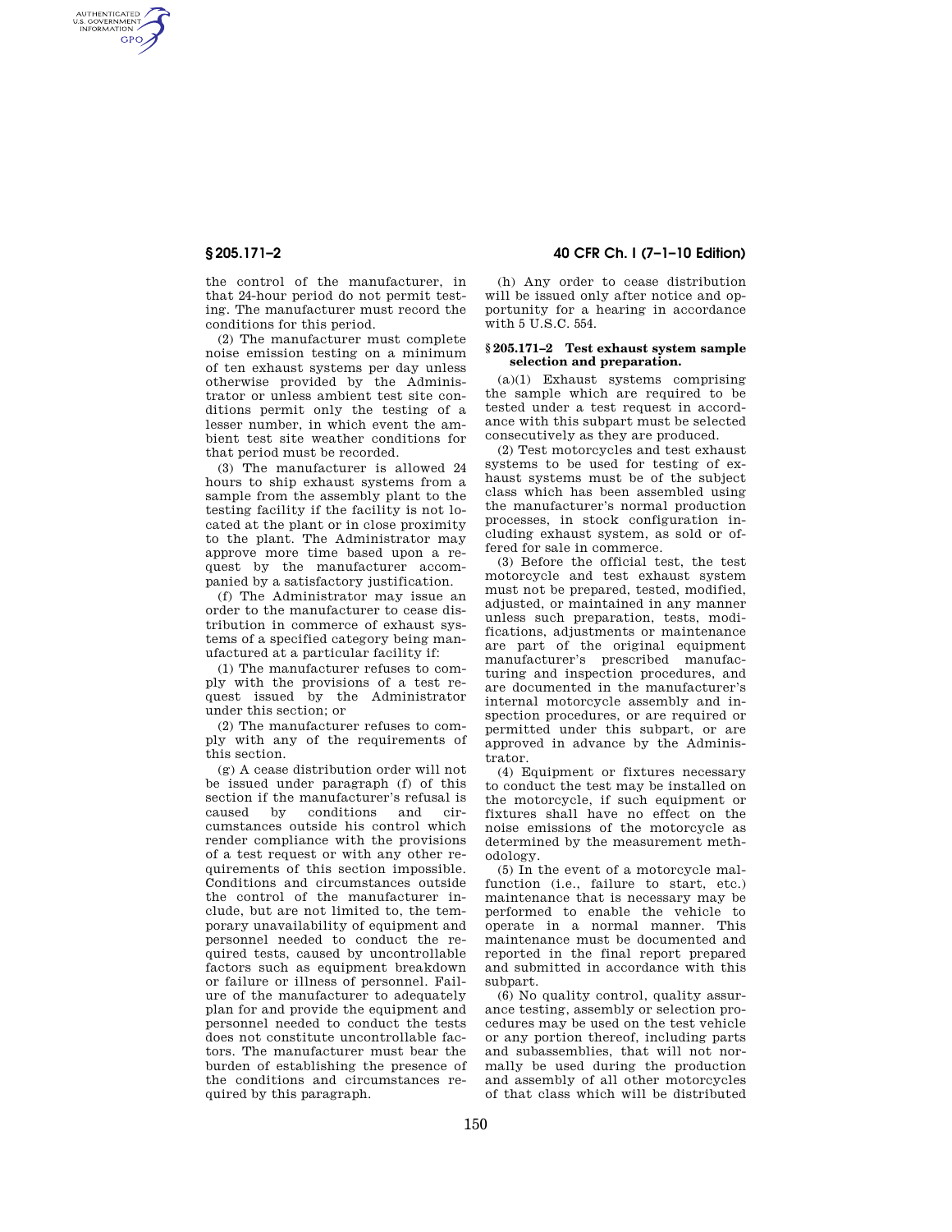AUTHENTICATED<br>U.S. GOVERNMENT<br>INFORMATION GPO

> the control of the manufacturer, in that 24-hour period do not permit testing. The manufacturer must record the conditions for this period.

> (2) The manufacturer must complete noise emission testing on a minimum of ten exhaust systems per day unless otherwise provided by the Administrator or unless ambient test site conditions permit only the testing of a lesser number, in which event the ambient test site weather conditions for that period must be recorded.

> (3) The manufacturer is allowed 24 hours to ship exhaust systems from a sample from the assembly plant to the testing facility if the facility is not located at the plant or in close proximity to the plant. The Administrator may approve more time based upon a request by the manufacturer accompanied by a satisfactory justification.

> (f) The Administrator may issue an order to the manufacturer to cease distribution in commerce of exhaust systems of a specified category being manufactured at a particular facility if:

> (1) The manufacturer refuses to comply with the provisions of a test request issued by the Administrator under this section; or

> (2) The manufacturer refuses to comply with any of the requirements of this section.

> (g) A cease distribution order will not be issued under paragraph (f) of this section if the manufacturer's refusal is caused by conditions and circumstances outside his control which render compliance with the provisions of a test request or with any other requirements of this section impossible. Conditions and circumstances outside the control of the manufacturer include, but are not limited to, the temporary unavailability of equipment and personnel needed to conduct the required tests, caused by uncontrollable factors such as equipment breakdown or failure or illness of personnel. Failure of the manufacturer to adequately plan for and provide the equipment and personnel needed to conduct the tests does not constitute uncontrollable factors. The manufacturer must bear the burden of establishing the presence of the conditions and circumstances required by this paragraph.

# **§ 205.171–2 40 CFR Ch. I (7–1–10 Edition)**

(h) Any order to cease distribution will be issued only after notice and opportunity for a hearing in accordance with 5 U.S.C. 554.

## **§ 205.171–2 Test exhaust system sample selection and preparation.**

(a)(1) Exhaust systems comprising the sample which are required to be tested under a test request in accordance with this subpart must be selected consecutively as they are produced.

(2) Test motorcycles and test exhaust systems to be used for testing of exhaust systems must be of the subject class which has been assembled using the manufacturer's normal production processes, in stock configuration including exhaust system, as sold or offered for sale in commerce.

(3) Before the official test, the test motorcycle and test exhaust system must not be prepared, tested, modified, adjusted, or maintained in any manner unless such preparation, tests, modifications, adjustments or maintenance are part of the original equipment manufacturer's prescribed manufacturing and inspection procedures, and are documented in the manufacturer's internal motorcycle assembly and inspection procedures, or are required or permitted under this subpart, or are approved in advance by the Administrator.

(4) Equipment or fixtures necessary to conduct the test may be installed on the motorcycle, if such equipment or fixtures shall have no effect on the noise emissions of the motorcycle as determined by the measurement methodology.

(5) In the event of a motorcycle malfunction (i.e., failure to start, etc.) maintenance that is necessary may be performed to enable the vehicle to operate in a normal manner. This maintenance must be documented and reported in the final report prepared and submitted in accordance with this subpart.

(6) No quality control, quality assurance testing, assembly or selection procedures may be used on the test vehicle or any portion thereof, including parts and subassemblies, that will not normally be used during the production and assembly of all other motorcycles of that class which will be distributed